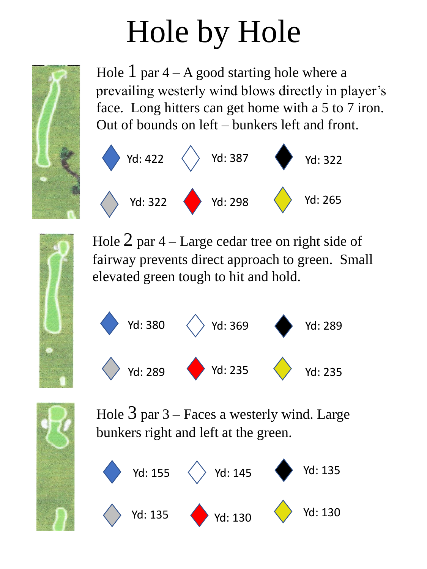

Hole  $1$  par  $4 - A$  good starting hole where a prevailing westerly wind blows directly in player's face. Long hitters can get home with a 5 to 7 iron. Out of bounds on left – bunkers left and front.



Hole  $2$  par  $4$  – Large cedar tree on right side of fairway prevents direct approach to green. Small elevated green tough to hit and hold.





Hole  $3$  par  $3$  – Faces a westerly wind. Large bunkers right and left at the green.

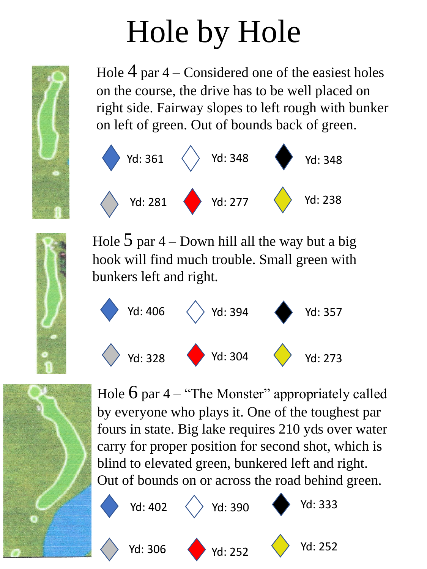

Hole  $4$  par  $4$  – Considered one of the easiest holes on the course, the drive has to be well placed on right side. Fairway slopes to left rough with bunker on left of green. Out of bounds back of green.



Hole  $5$  par  $4$  – Down hill all the way but a big hook will find much trouble. Small green with bunkers left and right.





Hole  $6$  par  $4 -$  "The Monster" appropriately called by everyone who plays it. One of the toughest par fours in state. Big lake requires 210 yds over water carry for proper position for second shot, which is blind to elevated green, bunkered left and right. Out of bounds on or across the road behind green.

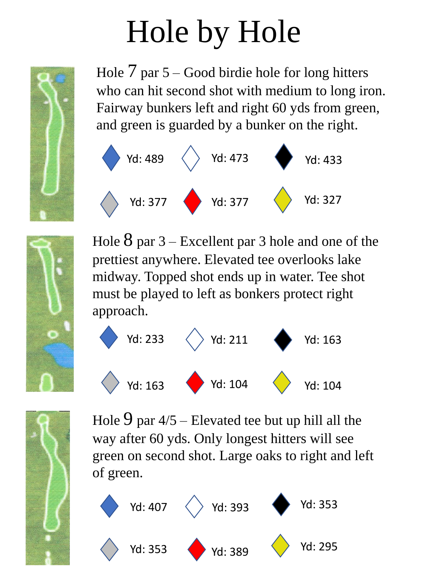

Hole  $\overline{7}$  par  $\overline{5}$  – Good birdie hole for long hitters who can hit second shot with medium to long iron. Fairway bunkers left and right 60 yds from green, and green is guarded by a bunker on the right.





Hole  $8$  par  $3$  – Excellent par 3 hole and one of the prettiest anywhere. Elevated tee overlooks lake midway. Topped shot ends up in water. Tee shot must be played to left as bonkers protect right approach.





Hole  $9$  par  $4/5$  – Elevated tee but up hill all the way after 60 yds. Only longest hitters will see green on second shot. Large oaks to right and left of green.

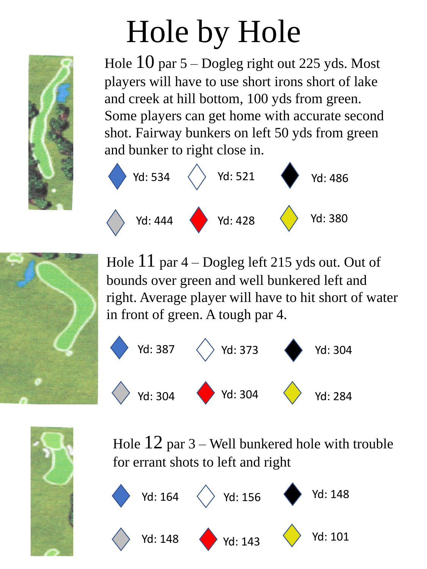

Hole  $10$  par  $5 -$ Dogleg right out 225 yds. Most players will have to use short irons short of lake and creek at hill bottom, 100 yds from green. Some players can get home with accurate second shot. Fairway bunkers on left 50 yds from green and bunker to right close in.





Hole  $11$  par  $4$  – Dogleg left 215 yds out. Out of bounds over green and well bunkered left and right. Average player will have to hit short of water in front of green. A tough par 4.





Hole  $12$  par  $3$  – Well bunkered hole with trouble for errant shots to left and right

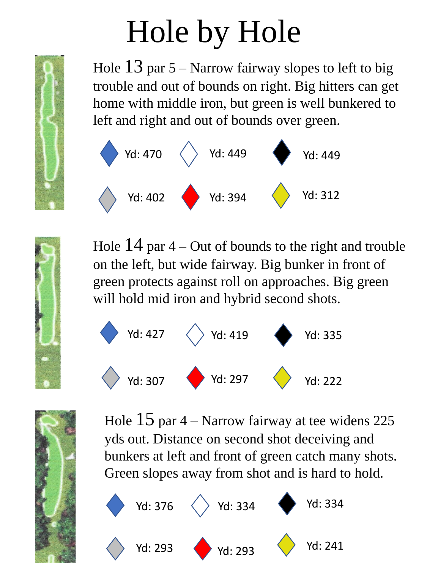Hole  $13$  par  $5 -$  Narrow fairway slopes to left to big trouble and out of bounds on right. Big hitters can get home with middle iron, but green is well bunkered to left and right and out of bounds over green.



Hole  $14$  par  $4 -$ Out of bounds to the right and trouble on the left, but wide fairway. Big bunker in front of green protects against roll on approaches. Big green will hold mid iron and hybrid second shots.





Hole  $15$  par  $4 -$  Narrow fairway at tee widens 225 yds out. Distance on second shot deceiving and bunkers at left and front of green catch many shots. Green slopes away from shot and is hard to hold.